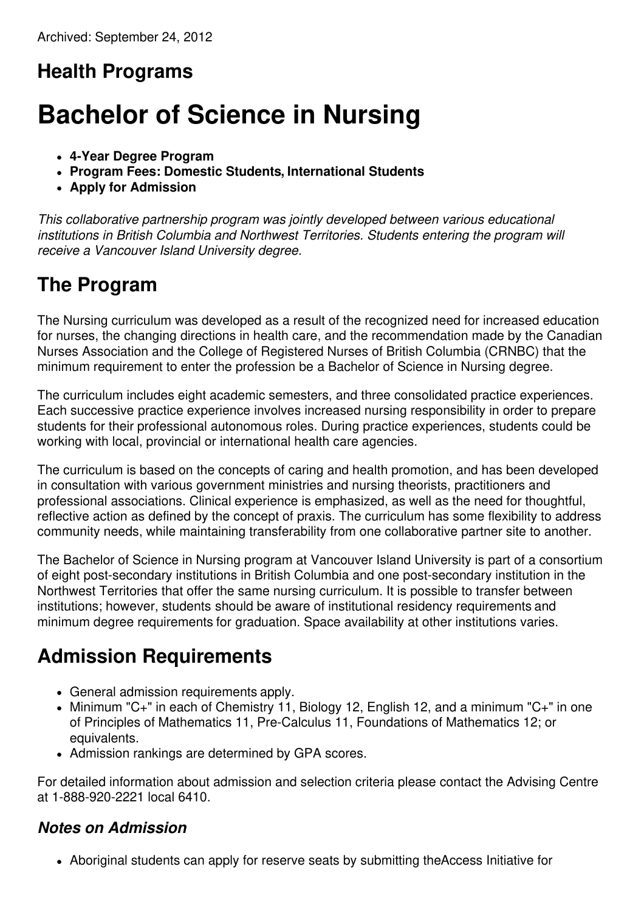## **Health Programs**

# **Bachelor of Science in Nursing**

- **4-Year Degree Program**
- **Program Fees: Domestic Students, International Students**
- **Apply for Admission**

*This collaborative partnership program was jointly developed between various educational institutions in British Columbia and Northwest Territories. Students entering the program will receive a Vancouver Island University degree.*

### **The Program**

The Nursing curriculum was developed as a result of the recognized need for increased education for nurses, the changing directions in health care, and the recommendation made by the Canadian Nurses Association and the College of Registered Nurses of British Columbia (CRNBC) that the minimum requirement to enter the profession be a Bachelor of Science in Nursing degree.

The curriculum includes eight academic semesters, and three consolidated practice experiences. Each successive practice experience involves increased nursing responsibility in order to prepare students for their professional autonomous roles. During practice experiences, students could be working with local, provincial or international health care agencies.

The curriculum is based on the concepts of caring and health promotion, and has been developed in consultation with various government ministries and nursing theorists, practitioners and professional associations. Clinical experience is emphasized, as well as the need for thoughtful, reflective action as defined by the concept of praxis. The curriculum has some flexibility to address community needs, while maintaining transferability from one collaborative partner site to another.

The Bachelor of Science in Nursing program at Vancouver Island University is part of a consortium of eight post-secondary institutions in British Columbia and one post-secondary institution in the Northwest Territories that offer the same nursing curriculum. It is possible to transfer between institutions; however, students should be aware of institutional residency requirements and minimum degree requirements for graduation. Space availability at other institutions varies.

### **Admission Requirements**

- General admission requirements apply.
- Minimum "C+" in each of Chemistry 11, Biology 12, English 12, and a minimum "C+" in one of Principles of Mathematics 11, Pre-Calculus 11, Foundations of Mathematics 12; or equivalents.
- Admission rankings are determined by GPA scores.

For detailed information about admission and selection criteria please contact the Advising Centre at 1-888-920-2221 local 6410.

#### *Notes on Admission*

Aboriginal students can apply for reserve seats by submitting theAccess Initiative for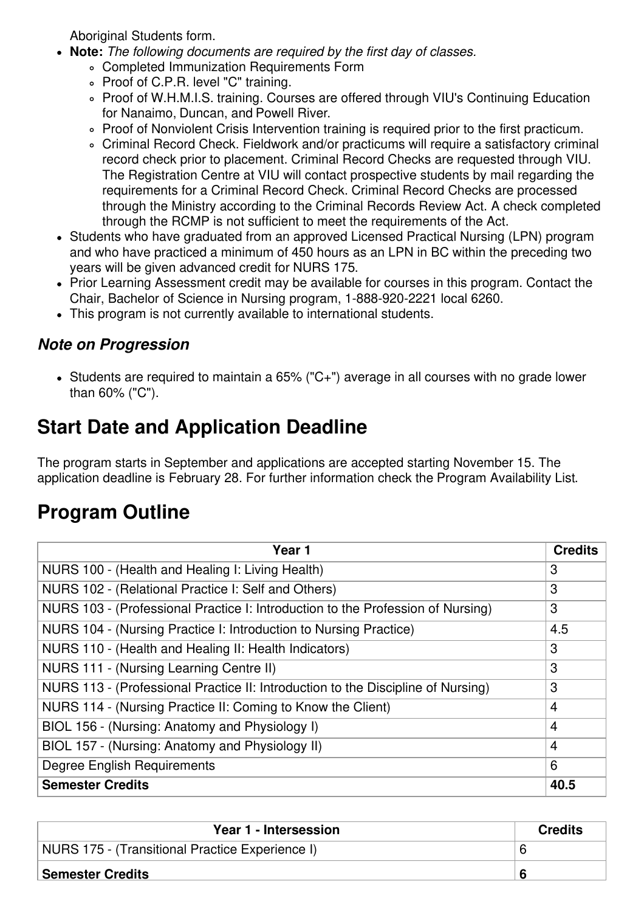Aboriginal Students form.

- **Note:** *The following documents are required by the first day of classes.*
	- Completed Immunization Requirements Form
	- Proof of C.P.R. level "C" training.
	- Proof of W.H.M.I.S. training. Courses are offered through VIU's Continuing Education for Nanaimo, Duncan, and Powell River.
	- Proof of Nonviolent Crisis Intervention training is required prior to the first practicum.
	- Criminal Record Check. Fieldwork and/or practicums will require a satisfactory criminal record check prior to placement. Criminal Record Checks are requested through VIU. The Registration Centre at VIU will contact prospective students by mail regarding the requirements for a Criminal Record Check. Criminal Record Checks are processed through the Ministry according to the Criminal Records Review Act. A check completed through the RCMP is not sufficient to meet the requirements of the Act.
- Students who have graduated from an approved Licensed Practical Nursing (LPN) program and who have practiced a minimum of 450 hours as an LPN in BC within the preceding two years will be given advanced credit for NURS 175.
- Prior Learning Assessment credit may be available for courses in this program. Contact the Chair, Bachelor of Science in Nursing program, 1-888-920-2221 local 6260.
- This program is not currently available to international students.

#### *Note on Progression*

Students are required to maintain a 65% ("C+") average in all courses with no grade lower than 60% ("C").

## **Start Date and Application Deadline**

The program starts in September and applications are accepted starting November 15. The application deadline is February 28. For further information check the Program Availability List.

### **Program Outline**

| Year 1                                                                           | <b>Credits</b> |
|----------------------------------------------------------------------------------|----------------|
| NURS 100 - (Health and Healing I: Living Health)                                 | 3              |
| NURS 102 - (Relational Practice I: Self and Others)                              | 3              |
| NURS 103 - (Professional Practice I: Introduction to the Profession of Nursing)  | 3              |
| NURS 104 - (Nursing Practice I: Introduction to Nursing Practice)                | 4.5            |
| NURS 110 - (Health and Healing II: Health Indicators)                            | 3              |
| NURS 111 - (Nursing Learning Centre II)                                          | 3              |
| NURS 113 - (Professional Practice II: Introduction to the Discipline of Nursing) | 3              |
| NURS 114 - (Nursing Practice II: Coming to Know the Client)                      | $\overline{4}$ |
| BIOL 156 - (Nursing: Anatomy and Physiology I)                                   | $\overline{4}$ |
| BIOL 157 - (Nursing: Anatomy and Physiology II)                                  | $\overline{4}$ |
| <b>Degree English Requirements</b>                                               | 6              |
| <b>Semester Credits</b>                                                          | 40.5           |

| Year 1 - Intersession                           | <b>Credits</b> |
|-------------------------------------------------|----------------|
| NURS 175 - (Transitional Practice Experience I) |                |
| Semester Credits                                |                |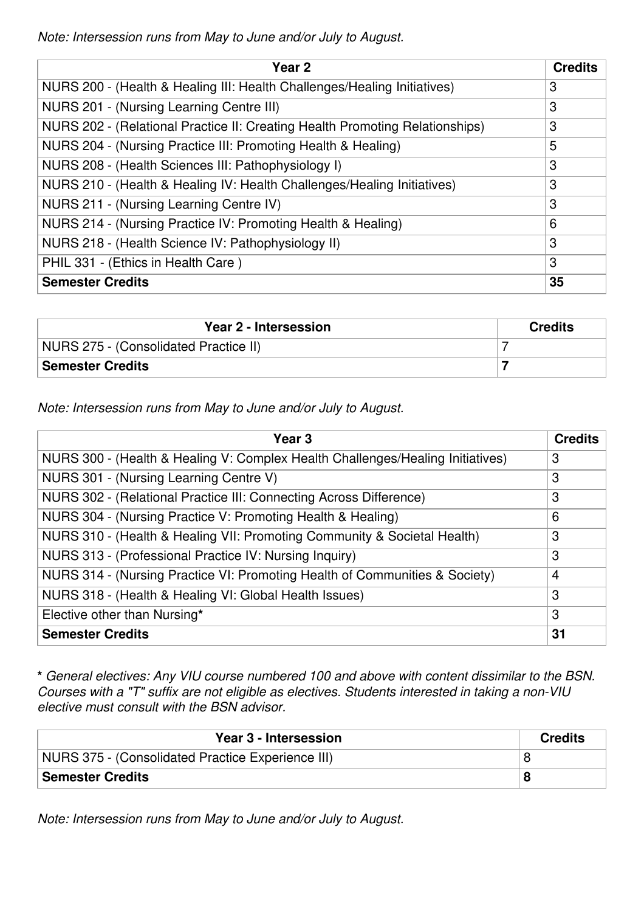*Note: Intersession runs from May to June and/or July to August.*

| Year <sub>2</sub>                                                            | <b>Credits</b> |
|------------------------------------------------------------------------------|----------------|
| NURS 200 - (Health & Healing III: Health Challenges/Healing Initiatives)     | 3              |
| NURS 201 - (Nursing Learning Centre III)                                     | 3              |
| NURS 202 - (Relational Practice II: Creating Health Promoting Relationships) | 3              |
| NURS 204 - (Nursing Practice III: Promoting Health & Healing)                | 5              |
| NURS 208 - (Health Sciences III: Pathophysiology I)                          | 3              |
| NURS 210 - (Health & Healing IV: Health Challenges/Healing Initiatives)      | 3              |
| NURS 211 - (Nursing Learning Centre IV)                                      | 3              |
| NURS 214 - (Nursing Practice IV: Promoting Health & Healing)                 | 6              |
| NURS 218 - (Health Science IV: Pathophysiology II)                           | 3              |
| PHIL 331 - (Ethics in Health Care)                                           | 3              |
| <b>Semester Credits</b>                                                      | 35             |

| Year 2 - Intersession                 | <b>Credits</b> |
|---------------------------------------|----------------|
| NURS 275 - (Consolidated Practice II) |                |
| <b>Semester Credits</b>               |                |

*Note: Intersession runs from May to June and/or July to August.*

| Year 3                                                                         | <b>Credits</b> |
|--------------------------------------------------------------------------------|----------------|
| NURS 300 - (Health & Healing V: Complex Health Challenges/Healing Initiatives) | 3              |
| NURS 301 - (Nursing Learning Centre V)                                         | 3              |
| NURS 302 - (Relational Practice III: Connecting Across Difference)             | 3              |
| NURS 304 - (Nursing Practice V: Promoting Health & Healing)                    | 6              |
| NURS 310 - (Health & Healing VII: Promoting Community & Societal Health)       | 3              |
| NURS 313 - (Professional Practice IV: Nursing Inquiry)                         | 3              |
| NURS 314 - (Nursing Practice VI: Promoting Health of Communities & Society)    | $\overline{4}$ |
| NURS 318 - (Health & Healing VI: Global Health Issues)                         | 3              |
| Elective other than Nursing*                                                   | 3              |
| <b>Semester Credits</b>                                                        | 31             |

**\*** *General electives: Any VIU course numbered 100 and above with content dissimilar to the BSN. Courses with a "T" suffix are not eligible as electives. Students interested in taking a non-VIU elective must consult with the BSN advisor.*

| Year 3 - Intersession                             | <b>Credits</b> |
|---------------------------------------------------|----------------|
| NURS 375 - (Consolidated Practice Experience III) |                |
| <b>Semester Credits</b>                           |                |

*Note: Intersession runs from May to June and/or July to August.*